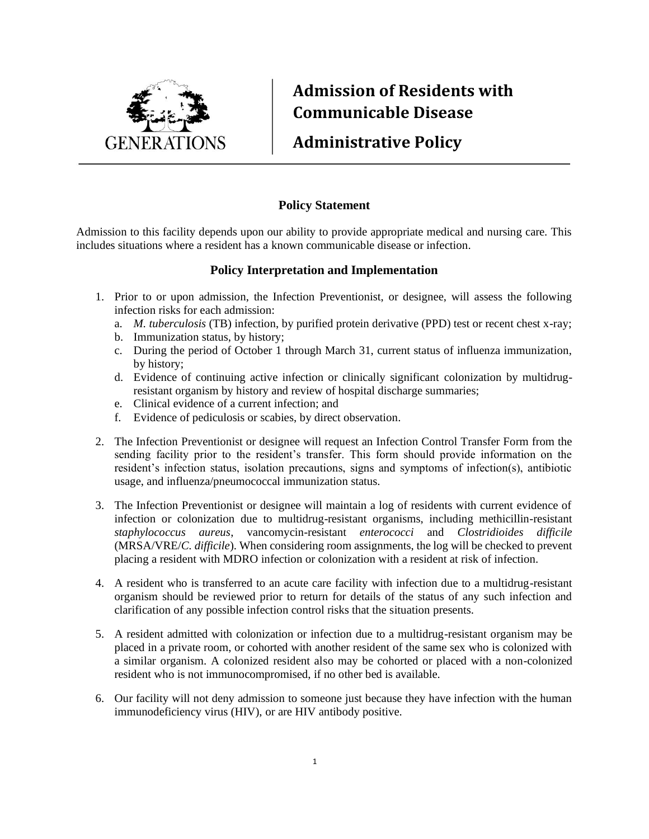

## **Admission of Residents with Communicable Disease**

## **Administrative Policy**

## **Policy Statement**

Admission to this facility depends upon our ability to provide appropriate medical and nursing care. This includes situations where a resident has a known communicable disease or infection.

## **Policy Interpretation and Implementation**

- 1. Prior to or upon admission, the Infection Preventionist, or designee, will assess the following infection risks for each admission:
	- a. *M. tuberculosis* (TB) infection, by purified protein derivative (PPD) test or recent chest x-ray;
	- b. Immunization status, by history;
	- c. During the period of October 1 through March 31, current status of influenza immunization, by history;
	- d. Evidence of continuing active infection or clinically significant colonization by multidrugresistant organism by history and review of hospital discharge summaries;
	- e. Clinical evidence of a current infection; and
	- f. Evidence of pediculosis or scabies, by direct observation.
- 2. The Infection Preventionist or designee will request an Infection Control Transfer Form from the sending facility prior to the resident's transfer. This form should provide information on the resident's infection status, isolation precautions, signs and symptoms of infection(s), antibiotic usage, and influenza/pneumococcal immunization status.
- 3. The Infection Preventionist or designee will maintain a log of residents with current evidence of infection or colonization due to multidrug-resistant organisms, including methicillin-resistant *staphylococcus aureus*, vancomycin-resistant *enterococci* and *Clostridioides difficile*  (MRSA/VRE/*C. difficile*). When considering room assignments, the log will be checked to prevent placing a resident with MDRO infection or colonization with a resident at risk of infection.
- 4. A resident who is transferred to an acute care facility with infection due to a multidrug-resistant organism should be reviewed prior to return for details of the status of any such infection and clarification of any possible infection control risks that the situation presents.
- 5. A resident admitted with colonization or infection due to a multidrug-resistant organism may be placed in a private room, or cohorted with another resident of the same sex who is colonized with a similar organism. A colonized resident also may be cohorted or placed with a non-colonized resident who is not immunocompromised, if no other bed is available.
- 6. Our facility will not deny admission to someone just because they have infection with the human immunodeficiency virus (HIV), or are HIV antibody positive.